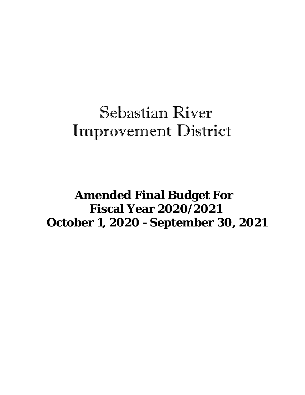## Sebastian River Improvement District

 **Amended Final Budget For Fiscal Year 2020/2021 October 1, 2020 - September 30, 2021**